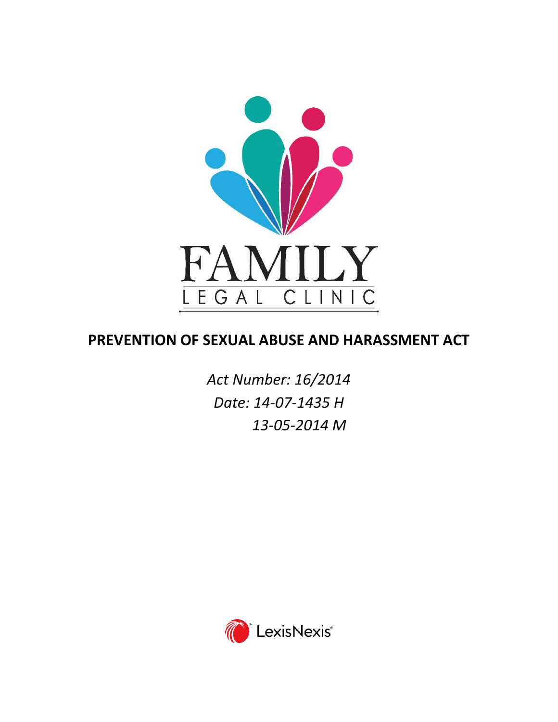

# **PREVENTION OF SEXUAL ABUSE AND HARASSMENT ACT**

*Act Number: 16/2014 Date: 14-07-1435 H 13-05-2014 M*

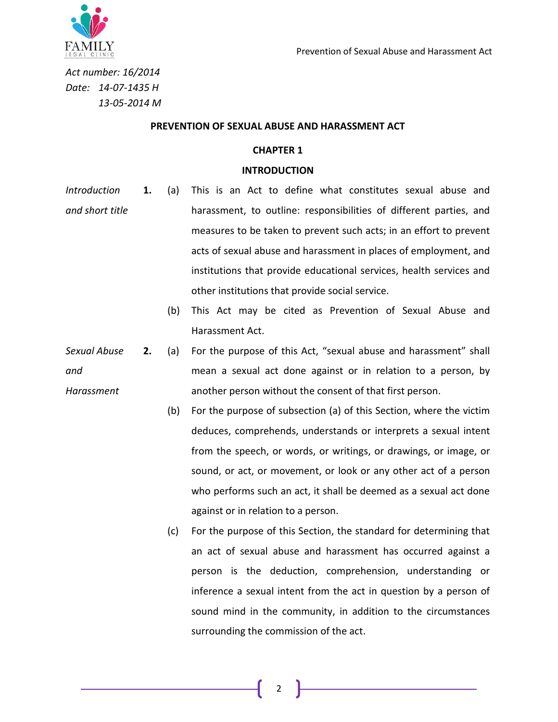

*Act number: 16/2014 Date: 14-07-1435 H 13-05-2014 M*

#### **PREVENTION OF SEXUAL ABUSE AND HARASSMENT ACT**

### **CHAPTER 1**

#### **INTRODUCTION**

- *Introduction and short title* **1.** (a) This is an Act to define what constitutes sexual abuse and harassment, to outline: responsibilities of different parties, and measures to be taken to prevent such acts; in an effort to prevent acts of sexual abuse and harassment in places of employment, and institutions that provide educational services, health services and other institutions that provide social service.
	- (b) This Act may be cited as Prevention of Sexual Abuse and Harassment Act.
- *Sexual Abuse and Harassment* **2.** (a) For the purpose of this Act, "sexual abuse and harassment" shall mean a sexual act done against or in relation to a person, by another person without the consent of that first person.
	- (b) For the purpose of subsection (a) of this Section, where the victim deduces, comprehends, understands or interprets a sexual intent from the speech, or words, or writings, or drawings, or image, or sound, or act, or movement, or look or any other act of a person who performs such an act, it shall be deemed as a sexual act done against or in relation to a person.
	- (c) For the purpose of this Section, the standard for determining that an act of sexual abuse and harassment has occurred against a person is the deduction, comprehension, understanding or inference a sexual intent from the act in question by a person of sound mind in the community, in addition to the circumstances surrounding the commission of the act.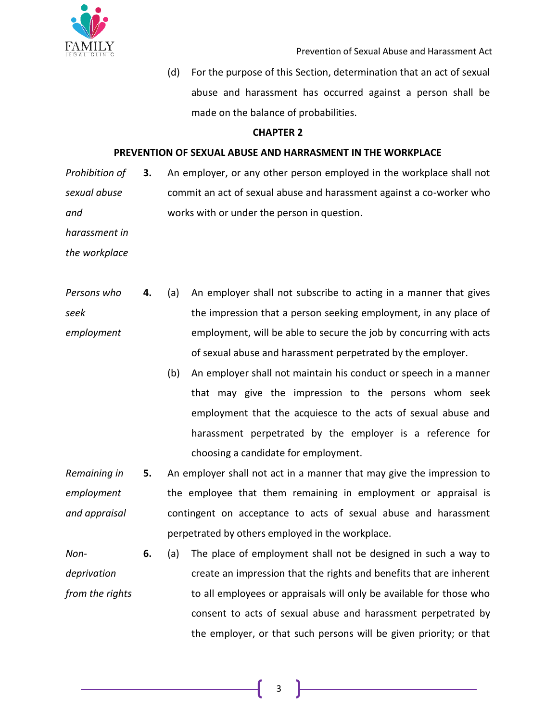

(d) For the purpose of this Section, determination that an act of sexual abuse and harassment has occurred against a person shall be made on the balance of probabilities.

# **CHAPTER 2**

## **PREVENTION OF SEXUAL ABUSE AND HARRASMENT IN THE WORKPLACE**

*Prohibition of sexual abuse and*  **3.** An employer, or any other person employed in the workplace shall not commit an act of sexual abuse and harassment against a co-worker who works with or under the person in question.

*harassment in* 

*the workplace*

- *Persons who seek employment* **4.** (a) An employer shall not subscribe to acting in a manner that gives the impression that a person seeking employment, in any place of employment, will be able to secure the job by concurring with acts of sexual abuse and harassment perpetrated by the employer.
	- (b) An employer shall not maintain his conduct or speech in a manner that may give the impression to the persons whom seek employment that the acquiesce to the acts of sexual abuse and harassment perpetrated by the employer is a reference for choosing a candidate for employment.
- *Remaining in employment and appraisal* **5.** An employer shall not act in a manner that may give the impression to the employee that them remaining in employment or appraisal is contingent on acceptance to acts of sexual abuse and harassment perpetrated by others employed in the workplace.
- *Nondeprivation from the rights* **6.** (a) The place of employment shall not be designed in such a way to create an impression that the rights and benefits that are inherent to all employees or appraisals will only be available for those who consent to acts of sexual abuse and harassment perpetrated by the employer, or that such persons will be given priority; or that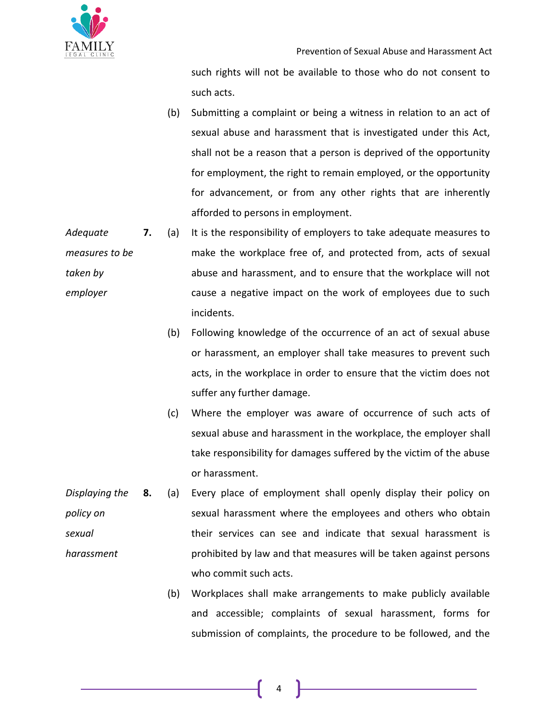

such rights will not be available to those who do not consent to such acts.

(b) Submitting a complaint or being a witness in relation to an act of sexual abuse and harassment that is investigated under this Act, shall not be a reason that a person is deprived of the opportunity for employment, the right to remain employed, or the opportunity for advancement, or from any other rights that are inherently afforded to persons in employment.

*Adequate measures to be taken by employer*  **7.** (a) It is the responsibility of employers to take adequate measures to make the workplace free of, and protected from, acts of sexual abuse and harassment, and to ensure that the workplace will not cause a negative impact on the work of employees due to such incidents.

- (b) Following knowledge of the occurrence of an act of sexual abuse or harassment, an employer shall take measures to prevent such acts, in the workplace in order to ensure that the victim does not suffer any further damage.
- (c) Where the employer was aware of occurrence of such acts of sexual abuse and harassment in the workplace, the employer shall take responsibility for damages suffered by the victim of the abuse or harassment.
- *Displaying the policy on sexual harassment* **8.** (a) Every place of employment shall openly display their policy on sexual harassment where the employees and others who obtain their services can see and indicate that sexual harassment is prohibited by law and that measures will be taken against persons who commit such acts.
	- (b) Workplaces shall make arrangements to make publicly available and accessible; complaints of sexual harassment, forms for submission of complaints, the procedure to be followed, and the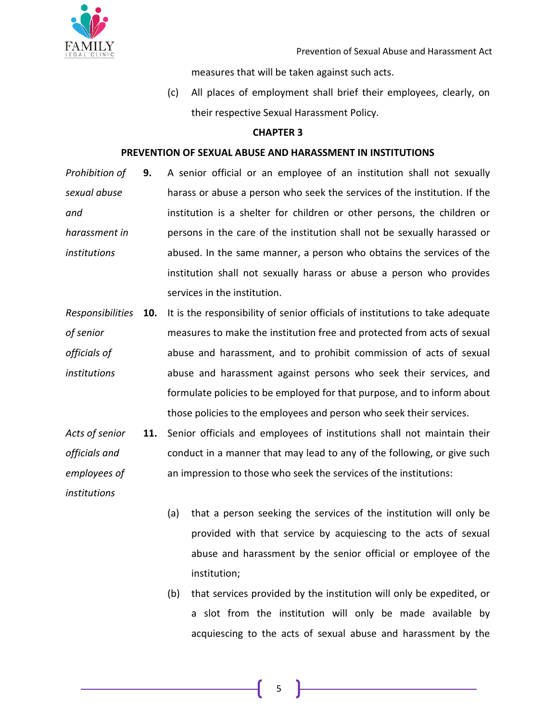

measures that will be taken against such acts.

(c) All places of employment shall brief their employees, clearly, on their respective Sexual Harassment Policy.

## **CHAPTER 3**

#### **PREVENTION OF SEXUAL ABUSE AND HARASSMENT IN INSTITUTIONS**

- *Prohibition of sexual abuse and harassment in institutions* **9.** A senior official or an employee of an institution shall not sexually harass or abuse a person who seek the services of the institution. If the institution is a shelter for children or other persons, the children or persons in the care of the institution shall not be sexually harassed or abused. In the same manner, a person who obtains the services of the institution shall not sexually harass or abuse a person who provides services in the institution.
- *Responsibilities*  **10.** It is the responsibility of senior officials of institutions to take adequate *of senior officials of institutions* measures to make the institution free and protected from acts of sexual abuse and harassment, and to prohibit commission of acts of sexual abuse and harassment against persons who seek their services, and formulate policies to be employed for that purpose, and to inform about those policies to the employees and person who seek their services.
- *Acts of senior officials and employees of*  **11.** Senior officials and employees of institutions shall not maintain their conduct in a manner that may lead to any of the following, or give such an impression to those who seek the services of the institutions:

*institutions*

- (a) that a person seeking the services of the institution will only be provided with that service by acquiescing to the acts of sexual abuse and harassment by the senior official or employee of the institution;
- (b) that services provided by the institution will only be expedited, or a slot from the institution will only be made available by acquiescing to the acts of sexual abuse and harassment by the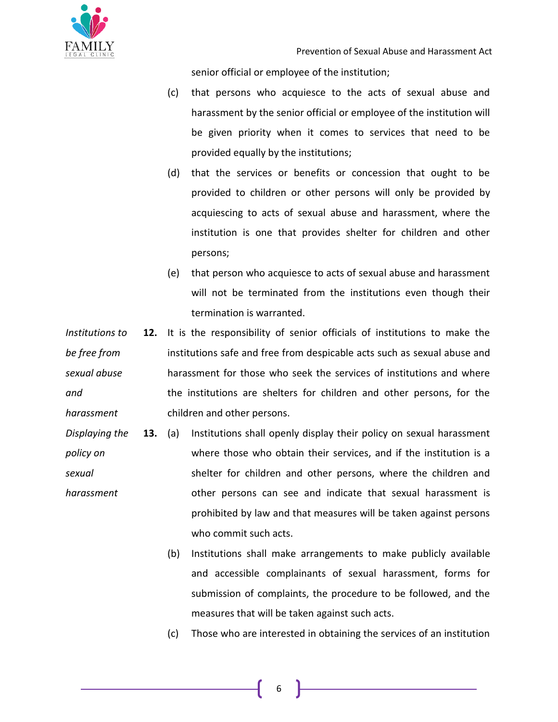

senior official or employee of the institution;

- (c) that persons who acquiesce to the acts of sexual abuse and harassment by the senior official or employee of the institution will be given priority when it comes to services that need to be provided equally by the institutions;
- (d) that the services or benefits or concession that ought to be provided to children or other persons will only be provided by acquiescing to acts of sexual abuse and harassment, where the institution is one that provides shelter for children and other persons;
- (e) that person who acquiesce to acts of sexual abuse and harassment will not be terminated from the institutions even though their termination is warranted.
- *Institutions to be free from sexual abuse and harassment* **12.** It is the responsibility of senior officials of institutions to make the institutions safe and free from despicable acts such as sexual abuse and harassment for those who seek the services of institutions and where the institutions are shelters for children and other persons, for the children and other persons.
- *Displaying the policy on sexual harassment* **13.** (a) Institutions shall openly display their policy on sexual harassment where those who obtain their services, and if the institution is a shelter for children and other persons, where the children and other persons can see and indicate that sexual harassment is prohibited by law and that measures will be taken against persons who commit such acts.
	- (b) Institutions shall make arrangements to make publicly available and accessible complainants of sexual harassment, forms for submission of complaints, the procedure to be followed, and the measures that will be taken against such acts.
	- (c) Those who are interested in obtaining the services of an institution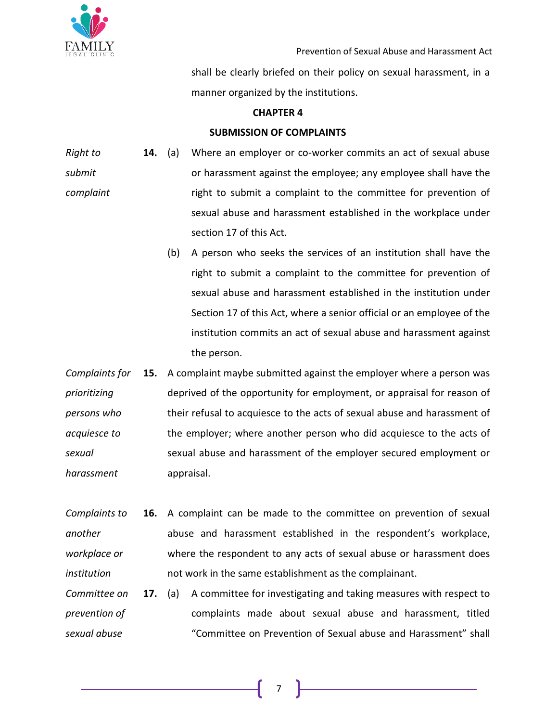

shall be clearly briefed on their policy on sexual harassment, in a manner organized by the institutions.

## **CHAPTER 4**

# **SUBMISSION OF COMPLAINTS**

- *Right to submit complaint* **14.** (a) Where an employer or co-worker commits an act of sexual abuse or harassment against the employee; any employee shall have the right to submit a complaint to the committee for prevention of sexual abuse and harassment established in the workplace under section 17 of this Act.
	- (b) A person who seeks the services of an institution shall have the right to submit a complaint to the committee for prevention of sexual abuse and harassment established in the institution under Section 17 of this Act, where a senior official or an employee of the institution commits an act of sexual abuse and harassment against the person.
- *Complaints for prioritizing persons who acquiesce to sexual harassment* **15.** A complaint maybe submitted against the employer where a person was deprived of the opportunity for employment, or appraisal for reason of their refusal to acquiesce to the acts of sexual abuse and harassment of the employer; where another person who did acquiesce to the acts of sexual abuse and harassment of the employer secured employment or appraisal.
- *Complaints to another workplace or institution* **16.** A complaint can be made to the committee on prevention of sexual abuse and harassment established in the respondent's workplace, where the respondent to any acts of sexual abuse or harassment does not work in the same establishment as the complainant.
- *Committee on prevention of sexual abuse*  **17.** (a) A committee for investigating and taking measures with respect to complaints made about sexual abuse and harassment, titled "Committee on Prevention of Sexual abuse and Harassment" shall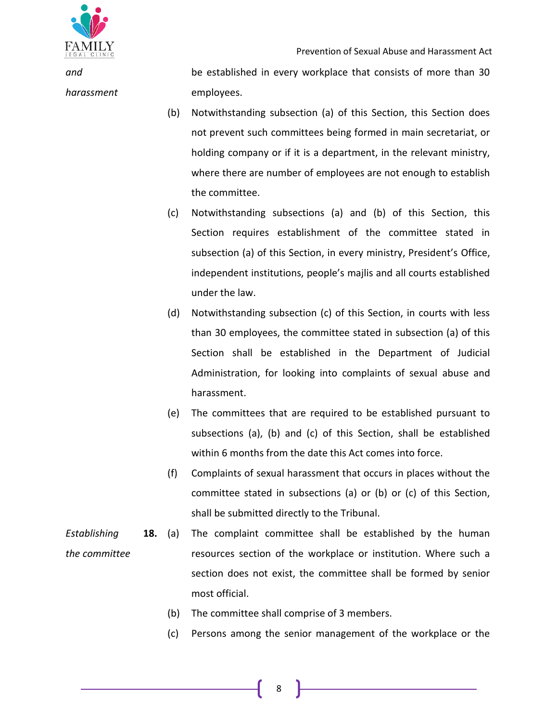

*and harassment* be established in every workplace that consists of more than 30 employees.

- (b) Notwithstanding subsection (a) of this Section, this Section does not prevent such committees being formed in main secretariat, or holding company or if it is a department, in the relevant ministry, where there are number of employees are not enough to establish the committee.
- (c) Notwithstanding subsections (a) and (b) of this Section, this Section requires establishment of the committee stated in subsection (a) of this Section, in every ministry, President's Office, independent institutions, people's majlis and all courts established under the law.
- (d) Notwithstanding subsection (c) of this Section, in courts with less than 30 employees, the committee stated in subsection (a) of this Section shall be established in the Department of Judicial Administration, for looking into complaints of sexual abuse and harassment.
- (e) The committees that are required to be established pursuant to subsections (a), (b) and (c) of this Section, shall be established within 6 months from the date this Act comes into force.
- (f) Complaints of sexual harassment that occurs in places without the committee stated in subsections (a) or (b) or (c) of this Section, shall be submitted directly to the Tribunal.
- *Establishing the committee* **18.** (a) The complaint committee shall be established by the human resources section of the workplace or institution. Where such a section does not exist, the committee shall be formed by senior most official.
	- (b) The committee shall comprise of 3 members.
	- (c) Persons among the senior management of the workplace or the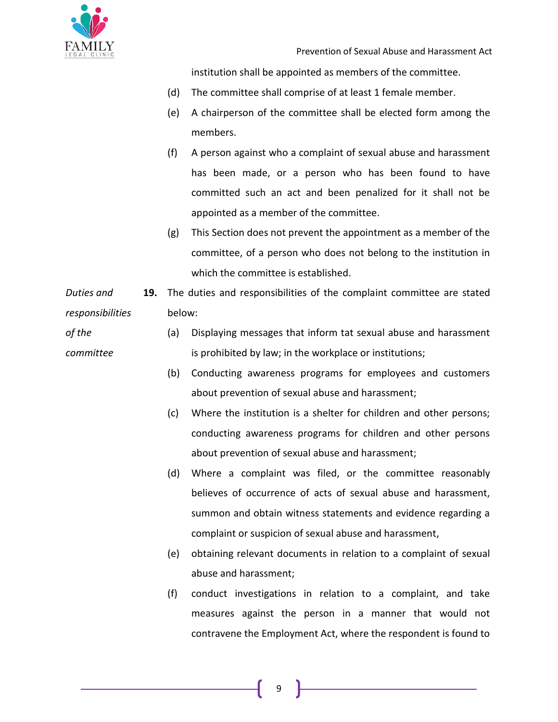

*of the* 

*committee*

institution shall be appointed as members of the committee.

- (d) The committee shall comprise of at least 1 female member.
- (e) A chairperson of the committee shall be elected form among the members.
- (f) A person against who a complaint of sexual abuse and harassment has been made, or a person who has been found to have committed such an act and been penalized for it shall not be appointed as a member of the committee.
- (g) This Section does not prevent the appointment as a member of the committee, of a person who does not belong to the institution in which the committee is established.

*Duties and responsibilities*  **19.** The duties and responsibilities of the complaint committee are stated below:

> (a) Displaying messages that inform tat sexual abuse and harassment is prohibited by law; in the workplace or institutions;

- (b) Conducting awareness programs for employees and customers about prevention of sexual abuse and harassment;
- (c) Where the institution is a shelter for children and other persons; conducting awareness programs for children and other persons about prevention of sexual abuse and harassment;
- (d) Where a complaint was filed, or the committee reasonably believes of occurrence of acts of sexual abuse and harassment, summon and obtain witness statements and evidence regarding a complaint or suspicion of sexual abuse and harassment,
- (e) obtaining relevant documents in relation to a complaint of sexual abuse and harassment;
- (f) conduct investigations in relation to a complaint, and take measures against the person in a manner that would not contravene the Employment Act, where the respondent is found to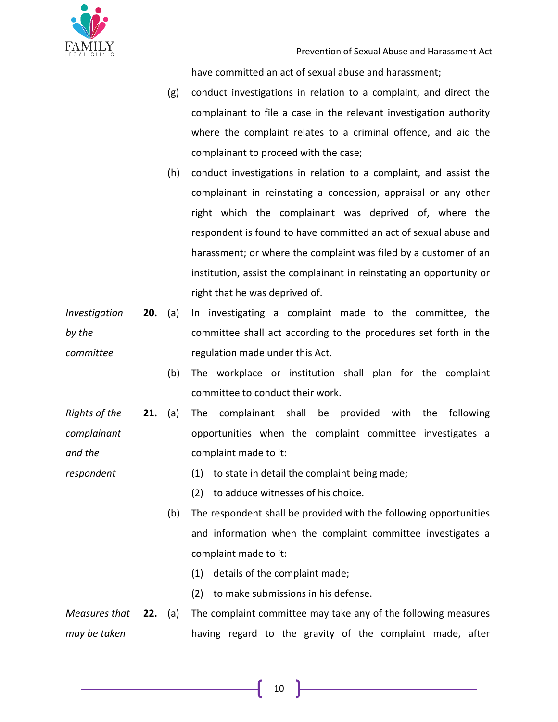

have committed an act of sexual abuse and harassment;

- (g) conduct investigations in relation to a complaint, and direct the complainant to file a case in the relevant investigation authority where the complaint relates to a criminal offence, and aid the complainant to proceed with the case;
- (h) conduct investigations in relation to a complaint, and assist the complainant in reinstating a concession, appraisal or any other right which the complainant was deprived of, where the respondent is found to have committed an act of sexual abuse and harassment; or where the complaint was filed by a customer of an institution, assist the complainant in reinstating an opportunity or right that he was deprived of.
- *Investigation by the committee* **20.** (a) In investigating a complaint made to the committee, the committee shall act according to the procedures set forth in the regulation made under this Act.
	- (b) The workplace or institution shall plan for the complaint committee to conduct their work.
- *Rights of the complainant and the*  **21.** (a) The complainant shall be provided with the following opportunities when the complaint committee investigates a complaint made to it:
- *respondent* (1) to state in detail the complaint being made;
	- (2) to adduce witnesses of his choice.
	- (b) The respondent shall be provided with the following opportunities and information when the complaint committee investigates a complaint made to it:
		- (1) details of the complaint made;
		- (2) to make submissions in his defense.
- *Measures that may be taken*  The complaint committee may take any of the following measures having regard to the gravity of the complaint made, after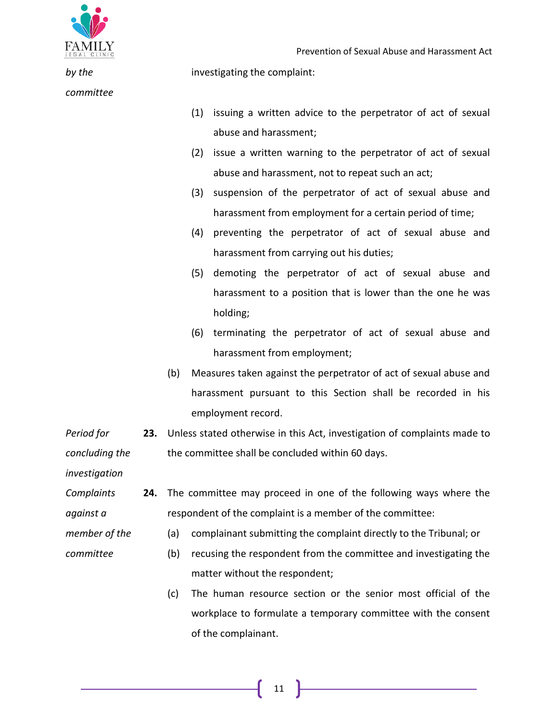

*committee*

*by the* 

investigating the complaint:

- (1) issuing a written advice to the perpetrator of act of sexual abuse and harassment;
- (2) issue a written warning to the perpetrator of act of sexual abuse and harassment, not to repeat such an act;
- (3) suspension of the perpetrator of act of sexual abuse and harassment from employment for a certain period of time;
- (4) preventing the perpetrator of act of sexual abuse and harassment from carrying out his duties;
- (5) demoting the perpetrator of act of sexual abuse and harassment to a position that is lower than the one he was holding;
- (6) terminating the perpetrator of act of sexual abuse and harassment from employment;
- (b) Measures taken against the perpetrator of act of sexual abuse and harassment pursuant to this Section shall be recorded in his employment record.
- *Period for concluding the*  **23.** Unless stated otherwise in this Act, investigation of complaints made to the committee shall be concluded within 60 days.

*investigation*

*committee*

- *Complaints against a*  **24.** The committee may proceed in one of the following ways where the respondent of the complaint is a member of the committee:
- *member of the* 
	- (a) complainant submitting the complaint directly to the Tribunal; or
		- (b) recusing the respondent from the committee and investigating the matter without the respondent;
		- (c) The human resource section or the senior most official of the workplace to formulate a temporary committee with the consent of the complainant.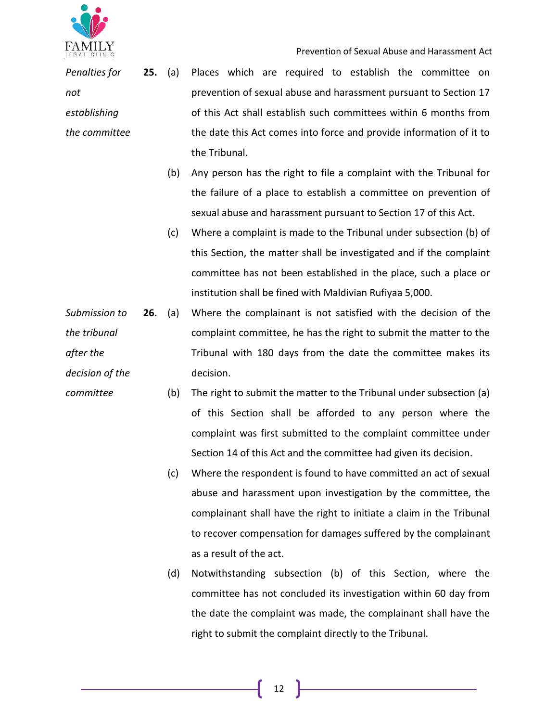

Prevention of Sexual Abuse and Harassment Act

*Penalties for not establishing the committee*

*committee*

- **25.** (a) Places which are required to establish the committee on prevention of sexual abuse and harassment pursuant to Section 17 of this Act shall establish such committees within 6 months from the date this Act comes into force and provide information of it to the Tribunal.
	- (b) Any person has the right to file a complaint with the Tribunal for the failure of a place to establish a committee on prevention of sexual abuse and harassment pursuant to Section 17 of this Act.
	- (c) Where a complaint is made to the Tribunal under subsection (b) of this Section, the matter shall be investigated and if the complaint committee has not been established in the place, such a place or institution shall be fined with Maldivian Rufiyaa 5,000.
- *Submission to the tribunal after the decision of the*  **26.** (a) Where the complainant is not satisfied with the decision of the complaint committee, he has the right to submit the matter to the Tribunal with 180 days from the date the committee makes its decision.
	- (b) The right to submit the matter to the Tribunal under subsection (a) of this Section shall be afforded to any person where the complaint was first submitted to the complaint committee under Section 14 of this Act and the committee had given its decision.
		- (c) Where the respondent is found to have committed an act of sexual abuse and harassment upon investigation by the committee, the complainant shall have the right to initiate a claim in the Tribunal to recover compensation for damages suffered by the complainant as a result of the act.
		- (d) Notwithstanding subsection (b) of this Section, where the committee has not concluded its investigation within 60 day from the date the complaint was made, the complainant shall have the right to submit the complaint directly to the Tribunal.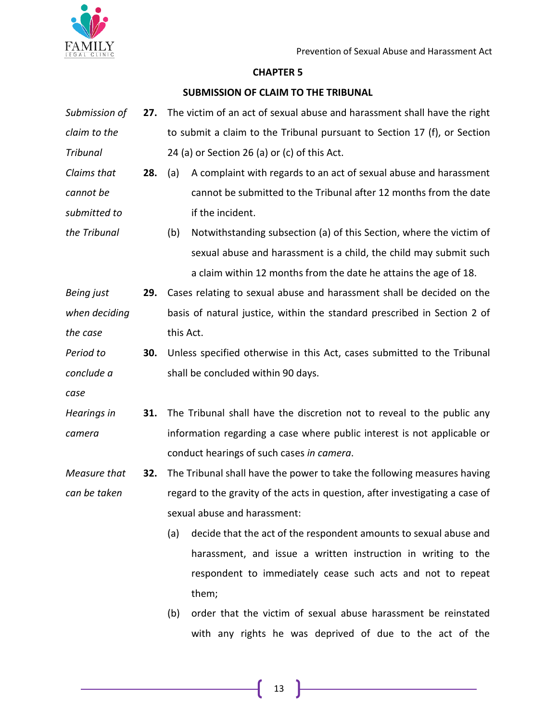

# **CHAPTER 5**

## **SUBMISSION OF CLAIM TO THE TRIBUNAL**

- *Submission of claim to the Tribunal* **27.** The victim of an act of sexual abuse and harassment shall have the right to submit a claim to the Tribunal pursuant to Section 17 (f), or Section 24 (a) or Section 26 (a) or (c) of this Act. *Claims that cannot be submitted to the Tribunal* **28.** (a) A complaint with regards to an act of sexual abuse and harassment cannot be submitted to the Tribunal after 12 months from the date if the incident. (b) Notwithstanding subsection (a) of this Section, where the victim of
	- sexual abuse and harassment is a child, the child may submit such a claim within 12 months from the date he attains the age of 18.

*Being just when deciding the case* **29.** Cases relating to sexual abuse and harassment shall be decided on the basis of natural justice, within the standard prescribed in Section 2 of this Act.

*Period to conclude a*  **30.** Unless specified otherwise in this Act, cases submitted to the Tribunal shall be concluded within 90 days.

*case*

*Hearings in camera* **31.** The Tribunal shall have the discretion not to reveal to the public any information regarding a case where public interest is not applicable or conduct hearings of such cases *in camera*.

*Measure that can be taken* **32.** The Tribunal shall have the power to take the following measures having regard to the gravity of the acts in question, after investigating a case of sexual abuse and harassment:

> (a) decide that the act of the respondent amounts to sexual abuse and harassment, and issue a written instruction in writing to the respondent to immediately cease such acts and not to repeat them;

> (b) order that the victim of sexual abuse harassment be reinstated with any rights he was deprived of due to the act of the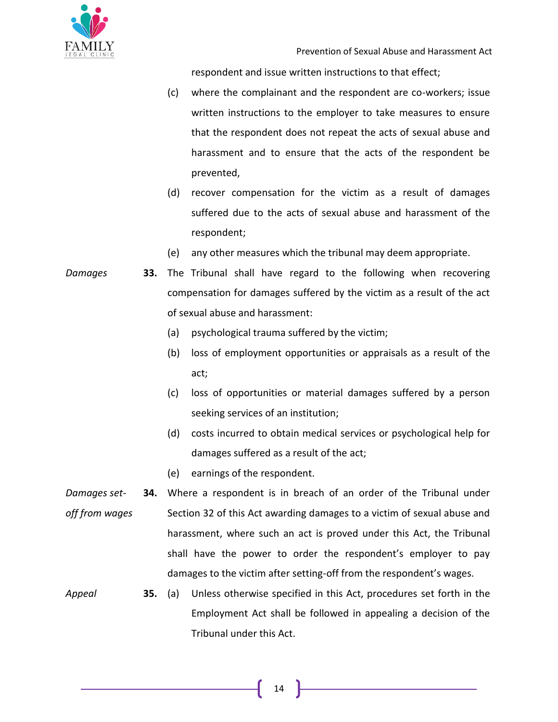

respondent and issue written instructions to that effect;

- (c) where the complainant and the respondent are co-workers; issue written instructions to the employer to take measures to ensure that the respondent does not repeat the acts of sexual abuse and harassment and to ensure that the acts of the respondent be prevented,
- (d) recover compensation for the victim as a result of damages suffered due to the acts of sexual abuse and harassment of the respondent;
- (e) any other measures which the tribunal may deem appropriate.
- *Damages* **33.** The Tribunal shall have regard to the following when recovering compensation for damages suffered by the victim as a result of the act of sexual abuse and harassment:
	- (a) psychological trauma suffered by the victim;
	- (b) loss of employment opportunities or appraisals as a result of the act;
	- (c) loss of opportunities or material damages suffered by a person seeking services of an institution;
	- (d) costs incurred to obtain medical services or psychological help for damages suffered as a result of the act;
	- (e) earnings of the respondent.
- *Damages setoff from wages* **34.** Where a respondent is in breach of an order of the Tribunal under Section 32 of this Act awarding damages to a victim of sexual abuse and harassment, where such an act is proved under this Act, the Tribunal shall have the power to order the respondent's employer to pay damages to the victim after setting-off from the respondent's wages.
- *Appeal* **35.** (a) Unless otherwise specified in this Act, procedures set forth in the Employment Act shall be followed in appealing a decision of the Tribunal under this Act.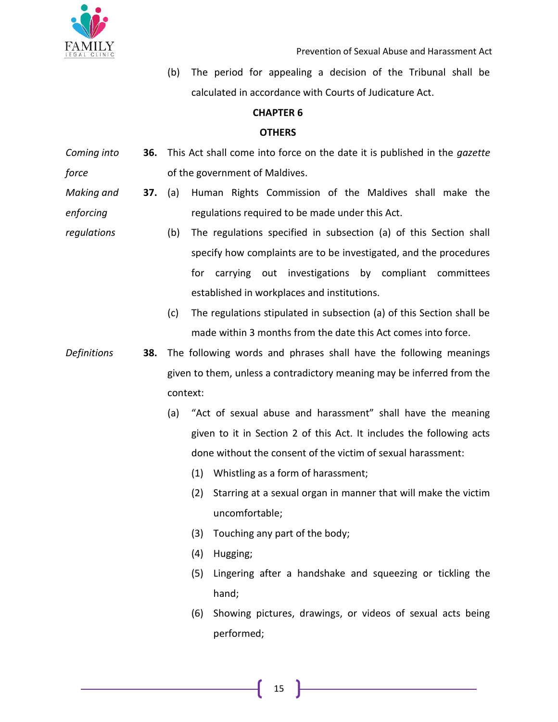

(b) The period for appealing a decision of the Tribunal shall be calculated in accordance with Courts of Judicature Act.

## **CHAPTER 6**

# **OTHERS**

- *Coming into force* **36.** This Act shall come into force on the date it is published in the *gazette* of the government of Maldives.
- *Making and enforcing*  **37.** (a) Human Rights Commission of the Maldives shall make the regulations required to be made under this Act.
- *regulations* (b) The regulations specified in subsection (a) of this Section shall specify how complaints are to be investigated, and the procedures for carrying out investigations by compliant committees established in workplaces and institutions.
	- (c) The regulations stipulated in subsection (a) of this Section shall be made within 3 months from the date this Act comes into force.
- *Definitions* **38.** The following words and phrases shall have the following meanings given to them, unless a contradictory meaning may be inferred from the context:
	- (a) "Act of sexual abuse and harassment" shall have the meaning given to it in Section 2 of this Act. It includes the following acts done without the consent of the victim of sexual harassment:
		- (1) Whistling as a form of harassment;
		- (2) Starring at a sexual organ in manner that will make the victim uncomfortable;
		- (3) Touching any part of the body;
		- (4) Hugging;
		- (5) Lingering after a handshake and squeezing or tickling the hand;
		- (6) Showing pictures, drawings, or videos of sexual acts being performed;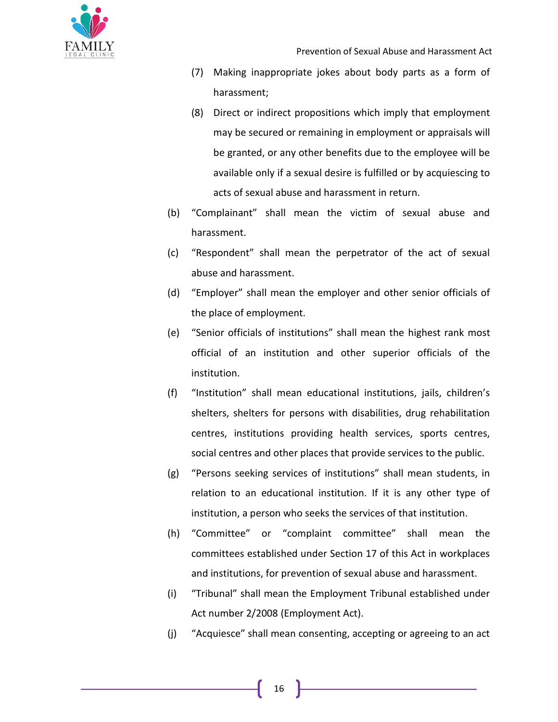

- (7) Making inappropriate jokes about body parts as a form of harassment;
- (8) Direct or indirect propositions which imply that employment may be secured or remaining in employment or appraisals will be granted, or any other benefits due to the employee will be available only if a sexual desire is fulfilled or by acquiescing to acts of sexual abuse and harassment in return.
- (b) "Complainant" shall mean the victim of sexual abuse and harassment.
- (c) "Respondent" shall mean the perpetrator of the act of sexual abuse and harassment.
- (d) "Employer" shall mean the employer and other senior officials of the place of employment.
- (e) "Senior officials of institutions" shall mean the highest rank most official of an institution and other superior officials of the institution.
- (f) "Institution" shall mean educational institutions, jails, children's shelters, shelters for persons with disabilities, drug rehabilitation centres, institutions providing health services, sports centres, social centres and other places that provide services to the public.
- (g) "Persons seeking services of institutions" shall mean students, in relation to an educational institution. If it is any other type of institution, a person who seeks the services of that institution.
- (h) "Committee" or "complaint committee" shall mean the committees established under Section 17 of this Act in workplaces and institutions, for prevention of sexual abuse and harassment.
- (i) "Tribunal" shall mean the Employment Tribunal established under Act number 2/2008 (Employment Act).
- (j) "Acquiesce" shall mean consenting, accepting or agreeing to an act